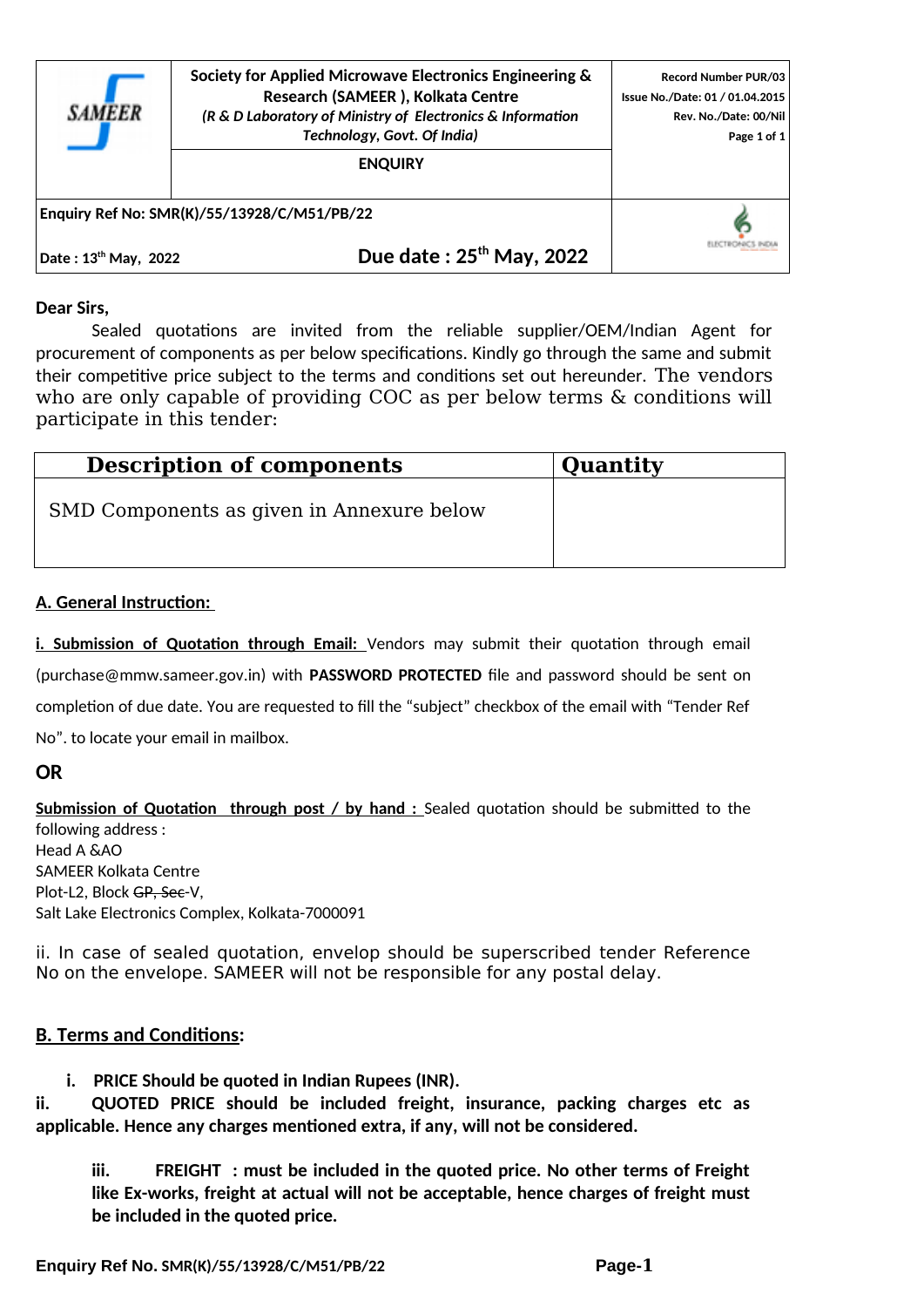

**Society for Applied Microwave Electronics Engineering & Research (SAMEER ), Kolkata Centre** *(R & D Laboratory of Ministry of Electronics & Information Technology, Govt. Of India)*

**ENQUIRY**

**Record Number PUR/03 Issue No./Date: 01 / 01.04.2015 Rev. No./Date: 00/Nil Page 1 of 1**

ELECTRONICS INDIA

**Enquiry Ref No: SMR(K)/55/13928/C/M51/PB/22** 

**Date : 13th May, 2022 Due date : 25th May, 2022**

#### **Dear Sirs,**

Sealed quotations are invited from the reliable supplier/OEM/Indian Agent for procurement of components as per below specifications. Kindly go through the same and submit their competitive price subject to the terms and conditions set out hereunder. The vendors who are only capable of providing COC as per below terms & conditions will participate in this tender:

| <b>Description of components</b>          | <b>Quantity</b> |  |
|-------------------------------------------|-----------------|--|
| SMD Components as given in Annexure below |                 |  |

#### **A. General Instruction:**

**i. Submission of Quotation through Email:** Vendors may submit their quotation through email (purchase@mmw.sameer.gov.in) with **PASSWORD PROTECTED** file and password should be sent on completion of due date. You are requested to fill the "subject" checkbox of the email with "Tender Ref No". to locate your email in mailbox.

## **OR**

**Submission of Quotation through post / by hand :** Sealed quotation should be submitted to the following address : Head A &AO SAMEER Kolkata Centre Plot-L2, Block GP, Sec-V, Salt Lake Electronics Complex, Kolkata-7000091

ii. In case of sealed quotation, envelop should be superscribed tender Reference No on the envelope. SAMEER will not be responsible for any postal delay.

## **B. Terms and Conditions:**

**i. PRICE Should be quoted in Indian Rupees (INR).**

**ii. QUOTED PRICE should be included freight, insurance, packing charges etc as applicable. Hence any charges mentioned extra, if any, will not be considered.** 

**iii. FREIGHT : must be included in the quoted price. No other terms of Freight like Ex-works, freight at actual will not be acceptable, hence charges of freight must be included in the quoted price.**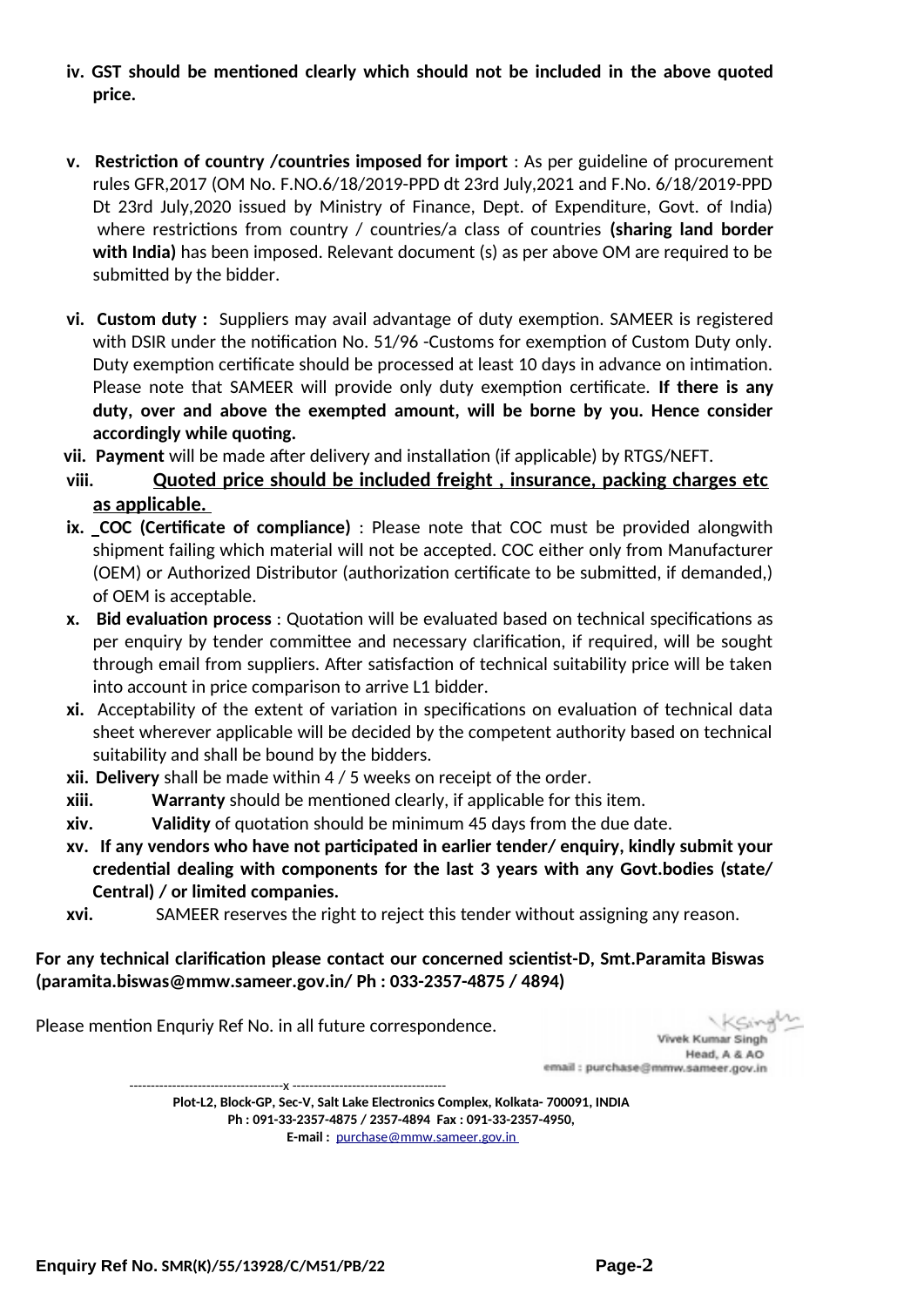- **iv. GST should be mentioned clearly which should not be included in the above quoted price.**
- **v. Restriction of country /countries imposed for import** : As per guideline of procurement rules GFR,2017 (OM No. F.NO.6/18/2019-PPD dt 23rd July,2021 and F.No. 6/18/2019-PPD Dt 23rd July,2020 issued by Ministry of Finance, Dept. of Expenditure, Govt. of India) where restrictions from country / countries/a class of countries **(sharing land border with India)** has been imposed. Relevant document (s) as per above OM are required to be submitted by the bidder.
- **vi. Custom duty :** Suppliers may avail advantage of duty exemption. SAMEER is registered with DSIR under the notification No. 51/96 -Customs for exemption of Custom Duty only. Duty exemption certificate should be processed at least 10 days in advance on intimation. Please note that SAMEER will provide only duty exemption certificate. **If there is any duty, over and above the exempted amount, will be borne by you. Hence consider accordingly while quoting.**
- **vii. Payment** will be made after delivery and installation (if applicable) by RTGS/NEFT.
- **viii. Quoted price should be included freight , insurance, packing charges etc as applicable.**
- **ix. COC (Certificate of compliance)** : Please note that COC must be provided alongwith shipment failing which material will not be accepted. COC either only from Manufacturer (OEM) or Authorized Distributor (authorization certificate to be submitted, if demanded,) of OEM is acceptable.
- **x. Bid evaluation process** : Quotation will be evaluated based on technical specifications as per enquiry by tender committee and necessary clarification, if required, will be sought through email from suppliers. After satisfaction of technical suitability price will be taken into account in price comparison to arrive L1 bidder.
- **xi.** Acceptability of the extent of variation in specifications on evaluation of technical data sheet wherever applicable will be decided by the competent authority based on technical suitability and shall be bound by the bidders.
- **xii. Delivery** shall be made within 4 / 5 weeks on receipt of the order.
- **xiii. Warranty** should be mentioned clearly, if applicable for this item.
- **xiv. Validity** of quotation should be minimum 45 days from the due date.
- **xv. If any vendors who have not participated in earlier tender/ enquiry, kindly submit your credential dealing with components for the last 3 years with any Govt.bodies (state/ Central) / or limited companies.**
- **xvi.** SAMEER reserves the right to reject this tender without assigning any reason.

**For any technical clarification please contact our concerned scientist-D, Smt.Paramita Biswas (paramita.biswas@mmw.sameer.gov.in/ Ph : 033-2357-4875 / 4894)** 

Please mention Enquriy Ref No. in all future correspondence.

Vivek Kumar Singh Head, A & AO email : purchase@mmw.sameer.gov.in

------------------------------------x ------------------------------------ **Plot-L2, Block-GP, Sec-V, Salt Lake Electronics Complex, Kolkata- 700091, INDIA Ph : 091-33-2357-4875 / 2357-4894 Fax : 091-33-2357-4950, E-mail :** [purchase@mmw.sameer.gov.in](mailto:purchase@mmw.sameer.gov.in)